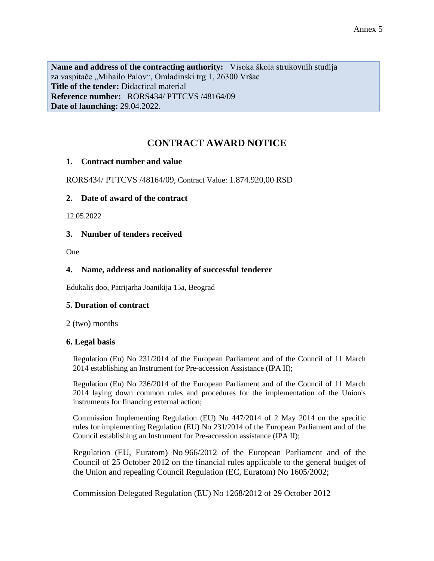**Name and address of the contracting authority:** Visoka škola strukovnih studija za vaspitače "Mihailo Palov", Omladinski trg 1, 26300 Vršac **Title of the tender:** Didactical material **Reference number:** RORS434/ PTTCVS /48164/09 **Date of launching:** 29.04.2022.

# **CONTRACT AWARD NOTICE**

## **1. Contract number and value**

RORS434/ PTTCVS /48164/09, Contract Value: 1.874.920,00 RSD

## **2. Date of award of the contract**

12.05.2022

## **3. Number of tenders received**

One

## **4. Name, address and nationality of successful tenderer**

Edukalis doo, Patrijarha Joanikija 15a, Beograd

#### **5. Duration of contract**

2 (two) months

#### **6. Legal basis**

Regulation (Eu) No 231/2014 of the European Parliament and of the Council of 11 March 2014 establishing an Instrument for Pre-accession Assistance (IPA II);

Regulation (Eu) No 236/2014 of the European Parliament and of the Council of 11 March 2014 laying down common rules and procedures for the implementation of the Union's instruments for financing external action;

Commission Implementing Regulation (EU) No 447/2014 of 2 May 2014 on the specific rules for implementing Regulation (EU) No 231/2014 of the European Parliament and of the Council establishing an Instrument for Pre-accession assistance (IPA II);

Regulation (EU, Euratom) No 966/2012 of the European Parliament and of the Council of 25 October 2012 on the financial rules applicable to the general budget of the Union and repealing Council Regulation (EC, Euratom) No 1605/2002;

Commission Delegated Regulation (EU) No 1268/2012 of 29 October 2012